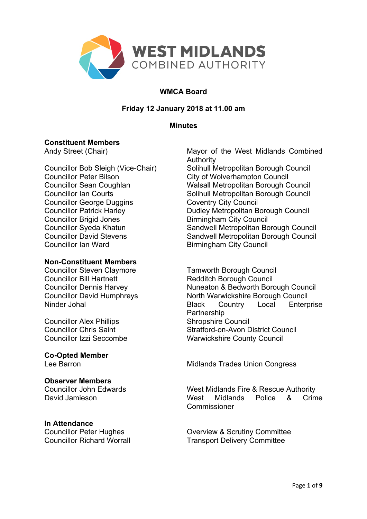

# **WMCA Board**

# **Friday 12 January 2018 at 11.00 am**

#### **Minutes**

### **Constituent Members**

Councillor Peter Bilson City of Wolverhampton Council Councillor George Duggins Coventry City Council Councillor Brigid Jones<br>
Councillor Sveda Khatun<br>
Sandwell Metropolitan Bo Councillor Ian Ward Birmingham City Council

#### **Non-Constituent Members**

Councillor Steven Claymore Tamworth Borough Council Councillor Bill Hartnett **Redditch Borough Council** 

Councillor Alex Phillips<br>
Councillor Chris Saint<br>
Stratford-on-Avon D

**Co-Opted Member**

#### **Observer Members**

#### **In Attendance**

Andy Street (Chair) Mayor of the West Midlands Combined Authority Councillor Bob Sleigh (Vice-Chair) Solihull Metropolitan Borough Council Councillor Sean Coughlan Walsall Metropolitan Borough Council Councillor Ian Courts **Solinull Metropolitan Borough Council** Councillor Patrick Harley **Dudley Metropolitan Borough Council** Sandwell Metropolitan Borough Council Councillor David Stevens Sandwell Metropolitan Borough Council

Councillor Dennis Harvey Nuneaton & Bedworth Borough Council Councillor David Humphreys North Warwickshire Borough Council Ninder Johal **Black** Country Local Enterprise **Partnership** Stratford-on-Avon District Council Councillor Izzi Seccombe Warwickshire County Council

Lee Barron **Midlands Trades Union Congress** 

Councillor John Edwards West Midlands Fire & Rescue Authority David Jamieson West Midlands Police & Crime **Commissioner** 

Councillor Peter Hughes **Councillor Peter Hughes** Overview & Scrutiny Committee Councillor Richard Worrall **Transport Delivery Committee**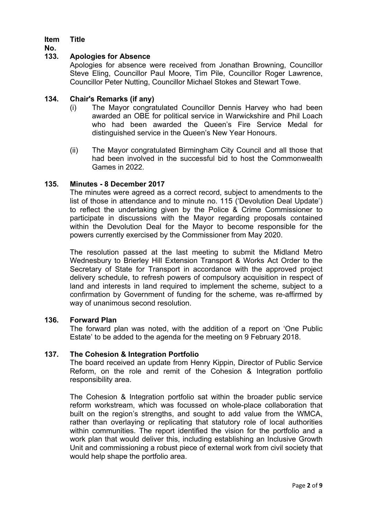#### **Item Title**

**No.**

### **133. Apologies for Absence**

Apologies for absence were received from Jonathan Browning, Councillor Steve Eling, Councillor Paul Moore, Tim Pile, Councillor Roger Lawrence, Councillor Peter Nutting, Councillor Michael Stokes and Stewart Towe.

### **134. Chair's Remarks (if any)**

- (i) The Mayor congratulated Councillor Dennis Harvey who had been awarded an OBE for political service in Warwickshire and Phil Loach who had been awarded the Queen's Fire Service Medal for distinguished service in the Queen's New Year Honours.
- (ii) The Mayor congratulated Birmingham City Council and all those that had been involved in the successful bid to host the Commonwealth Games in 2022.

### **135. Minutes - 8 December 2017**

The minutes were agreed as a correct record, subject to amendments to the list of those in attendance and to minute no. 115 ('Devolution Deal Update') to reflect the undertaking given by the Police & Crime Commissioner to participate in discussions with the Mayor regarding proposals contained within the Devolution Deal for the Mayor to become responsible for the powers currently exercised by the Commissioner from May 2020.

The resolution passed at the last meeting to submit the Midland Metro Wednesbury to Brierley Hill Extension Transport & Works Act Order to the Secretary of State for Transport in accordance with the approved project delivery schedule, to refresh powers of compulsory acquisition in respect of land and interests in land required to implement the scheme, subject to a confirmation by Government of funding for the scheme, was re-affirmed by way of unanimous second resolution.

#### **136. Forward Plan**

The forward plan was noted, with the addition of a report on 'One Public Estate' to be added to the agenda for the meeting on 9 February 2018.

#### **137. The Cohesion & Integration Portfolio**

The board received an update from Henry Kippin, Director of Public Service Reform, on the role and remit of the Cohesion & Integration portfolio responsibility area.

The Cohesion & Integration portfolio sat within the broader public service reform workstream, which was focussed on whole-place collaboration that built on the region's strengths, and sought to add value from the WMCA, rather than overlaying or replicating that statutory role of local authorities within communities. The report identified the vision for the portfolio and a work plan that would deliver this, including establishing an Inclusive Growth Unit and commissioning a robust piece of external work from civil society that would help shape the portfolio area.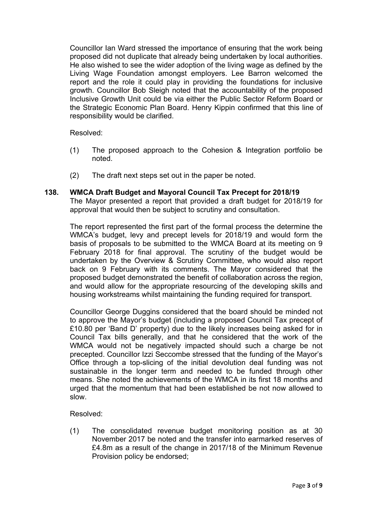Councillor Ian Ward stressed the importance of ensuring that the work being proposed did not duplicate that already being undertaken by local authorities. He also wished to see the wider adoption of the living wage as defined by the Living Wage Foundation amongst employers. Lee Barron welcomed the report and the role it could play in providing the foundations for inclusive growth. Councillor Bob Sleigh noted that the accountability of the proposed Inclusive Growth Unit could be via either the Public Sector Reform Board or the Strategic Economic Plan Board. Henry Kippin confirmed that this line of responsibility would be clarified.

Resolved:

- (1) The proposed approach to the Cohesion & Integration portfolio be noted.
- (2) The draft next steps set out in the paper be noted.

# **138. WMCA Draft Budget and Mayoral Council Tax Precept for 2018/19**

The Mayor presented a report that provided a draft budget for 2018/19 for approval that would then be subject to scrutiny and consultation.

The report represented the first part of the formal process the determine the WMCA's budget, levy and precept levels for 2018/19 and would form the basis of proposals to be submitted to the WMCA Board at its meeting on 9 February 2018 for final approval. The scrutiny of the budget would be undertaken by the Overview & Scrutiny Committee, who would also report back on 9 February with its comments. The Mayor considered that the proposed budget demonstrated the benefit of collaboration across the region, and would allow for the appropriate resourcing of the developing skills and housing workstreams whilst maintaining the funding required for transport.

Councillor George Duggins considered that the board should be minded not to approve the Mayor's budget (including a proposed Council Tax precept of £10.80 per 'Band D' property) due to the likely increases being asked for in Council Tax bills generally, and that he considered that the work of the WMCA would not be negatively impacted should such a charge be not precepted. Councillor Izzi Seccombe stressed that the funding of the Mayor's Office through a top-slicing of the initial devolution deal funding was not sustainable in the longer term and needed to be funded through other means. She noted the achievements of the WMCA in its first 18 months and urged that the momentum that had been established be not now allowed to slow.

Resolved:

(1) The consolidated revenue budget monitoring position as at 30 November 2017 be noted and the transfer into earmarked reserves of £4.8m as a result of the change in 2017/18 of the Minimum Revenue Provision policy be endorsed;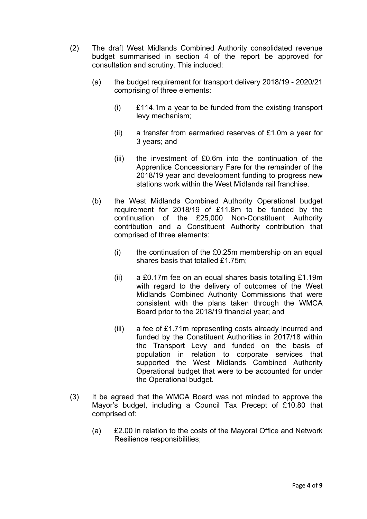- (2) The draft West Midlands Combined Authority consolidated revenue budget summarised in section 4 of the report be approved for consultation and scrutiny. This included:
	- (a) the budget requirement for transport delivery 2018/19 2020/21 comprising of three elements:
		- (i) £114.1m a year to be funded from the existing transport levy mechanism;
		- (ii) a transfer from earmarked reserves of £1.0m a year for 3 years; and
		- (iii) the investment of £0.6m into the continuation of the Apprentice Concessionary Fare for the remainder of the 2018/19 year and development funding to progress new stations work within the West Midlands rail franchise.
	- (b) the West Midlands Combined Authority Operational budget requirement for 2018/19 of £11.8m to be funded by the continuation of the £25,000 Non-Constituent Authority contribution and a Constituent Authority contribution that comprised of three elements:
		- $(i)$  the continuation of the £0.25m membership on an equal shares basis that totalled £1.75m;
		- (ii) a £0.17m fee on an equal shares basis totalling £1.19m with regard to the delivery of outcomes of the West Midlands Combined Authority Commissions that were consistent with the plans taken through the WMCA Board prior to the 2018/19 financial year; and
		- (iii) a fee of £1.71m representing costs already incurred and funded by the Constituent Authorities in 2017/18 within the Transport Levy and funded on the basis of population in relation to corporate services that supported the West Midlands Combined Authority Operational budget that were to be accounted for under the Operational budget.
- (3) It be agreed that the WMCA Board was not minded to approve the Mayor's budget, including a Council Tax Precept of £10.80 that comprised of:
	- (a) £2.00 in relation to the costs of the Mayoral Office and Network Resilience responsibilities;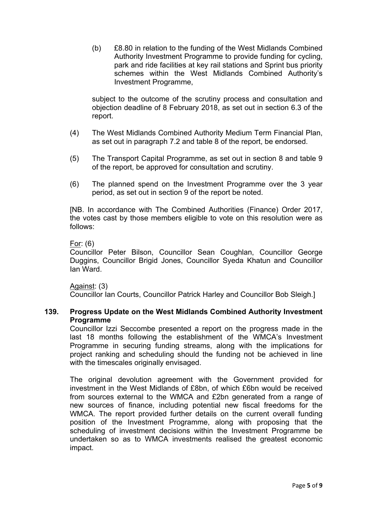(b) £8.80 in relation to the funding of the West Midlands Combined Authority Investment Programme to provide funding for cycling, park and ride facilities at key rail stations and Sprint bus priority schemes within the West Midlands Combined Authority's Investment Programme,

subject to the outcome of the scrutiny process and consultation and objection deadline of 8 February 2018, as set out in section 6.3 of the report.

- (4) The West Midlands Combined Authority Medium Term Financial Plan, as set out in paragraph 7.2 and table 8 of the report, be endorsed.
- (5) The Transport Capital Programme, as set out in section 8 and table 9 of the report, be approved for consultation and scrutiny.
- (6) The planned spend on the Investment Programme over the 3 year period, as set out in section 9 of the report be noted.

[NB. In accordance with The Combined Authorities (Finance) Order 2017, the votes cast by those members eligible to vote on this resolution were as follows:

### For: (6)

Councillor Peter Bilson, Councillor Sean Coughlan, Councillor George Duggins, Councillor Brigid Jones, Councillor Syeda Khatun and Councillor Ian Ward.

## Against: (3)

Councillor Ian Courts, Councillor Patrick Harley and Councillor Bob Sleigh.]

### **139. Progress Update on the West Midlands Combined Authority Investment Programme**

Councillor Izzi Seccombe presented a report on the progress made in the last 18 months following the establishment of the WMCA's Investment Programme in securing funding streams, along with the implications for project ranking and scheduling should the funding not be achieved in line with the timescales originally envisaged.

The original devolution agreement with the Government provided for investment in the West Midlands of £8bn, of which £6bn would be received from sources external to the WMCA and £2bn generated from a range of new sources of finance, including potential new fiscal freedoms for the WMCA. The report provided further details on the current overall funding position of the Investment Programme, along with proposing that the scheduling of investment decisions within the Investment Programme be undertaken so as to WMCA investments realised the greatest economic impact.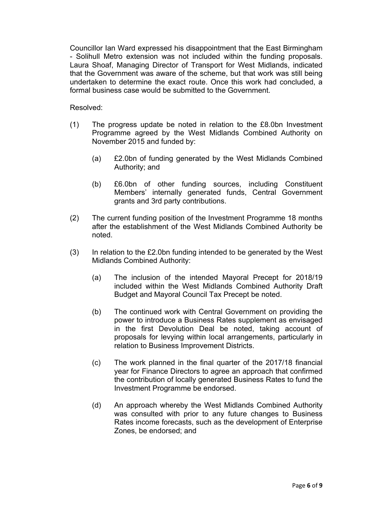Councillor Ian Ward expressed his disappointment that the East Birmingham - Solihull Metro extension was not included within the funding proposals. Laura Shoaf, Managing Director of Transport for West Midlands, indicated that the Government was aware of the scheme, but that work was still being undertaken to determine the exact route. Once this work had concluded, a formal business case would be submitted to the Government.

Resolved:

- (1) The progress update be noted in relation to the £8.0bn Investment Programme agreed by the West Midlands Combined Authority on November 2015 and funded by:
	- (a) £2.0bn of funding generated by the West Midlands Combined Authority; and
	- (b) £6.0bn of other funding sources, including Constituent Members' internally generated funds, Central Government grants and 3rd party contributions.
- (2) The current funding position of the Investment Programme 18 months after the establishment of the West Midlands Combined Authority be noted.
- (3) In relation to the £2.0bn funding intended to be generated by the West Midlands Combined Authority:
	- (a) The inclusion of the intended Mayoral Precept for 2018/19 included within the West Midlands Combined Authority Draft Budget and Mayoral Council Tax Precept be noted.
	- (b) The continued work with Central Government on providing the power to introduce a Business Rates supplement as envisaged in the first Devolution Deal be noted, taking account of proposals for levying within local arrangements, particularly in relation to Business Improvement Districts.
	- (c) The work planned in the final quarter of the 2017/18 financial year for Finance Directors to agree an approach that confirmed the contribution of locally generated Business Rates to fund the Investment Programme be endorsed.
	- (d) An approach whereby the West Midlands Combined Authority was consulted with prior to any future changes to Business Rates income forecasts, such as the development of Enterprise Zones, be endorsed; and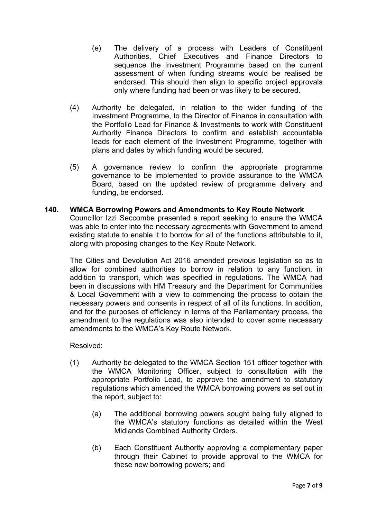- (e) The delivery of a process with Leaders of Constituent Authorities, Chief Executives and Finance Directors to sequence the Investment Programme based on the current assessment of when funding streams would be realised be endorsed. This should then align to specific project approvals only where funding had been or was likely to be secured.
- (4) Authority be delegated, in relation to the wider funding of the Investment Programme, to the Director of Finance in consultation with the Portfolio Lead for Finance & Investments to work with Constituent Authority Finance Directors to confirm and establish accountable leads for each element of the Investment Programme, together with plans and dates by which funding would be secured.
- (5) A governance review to confirm the appropriate programme governance to be implemented to provide assurance to the WMCA Board, based on the updated review of programme delivery and funding, be endorsed.

# **140. WMCA Borrowing Powers and Amendments to Key Route Network**

Councillor Izzi Seccombe presented a report seeking to ensure the WMCA was able to enter into the necessary agreements with Government to amend existing statute to enable it to borrow for all of the functions attributable to it, along with proposing changes to the Key Route Network.

The Cities and Devolution Act 2016 amended previous legislation so as to allow for combined authorities to borrow in relation to any function, in addition to transport, which was specified in regulations. The WMCA had been in discussions with HM Treasury and the Department for Communities & Local Government with a view to commencing the process to obtain the necessary powers and consents in respect of all of its functions. In addition, and for the purposes of efficiency in terms of the Parliamentary process, the amendment to the regulations was also intended to cover some necessary amendments to the WMCA's Key Route Network.

## Resolved:

- (1) Authority be delegated to the WMCA Section 151 officer together with the WMCA Monitoring Officer, subject to consultation with the appropriate Portfolio Lead, to approve the amendment to statutory regulations which amended the WMCA borrowing powers as set out in the report, subject to:
	- (a) The additional borrowing powers sought being fully aligned to the WMCA's statutory functions as detailed within the West Midlands Combined Authority Orders.
	- (b) Each Constituent Authority approving a complementary paper through their Cabinet to provide approval to the WMCA for these new borrowing powers; and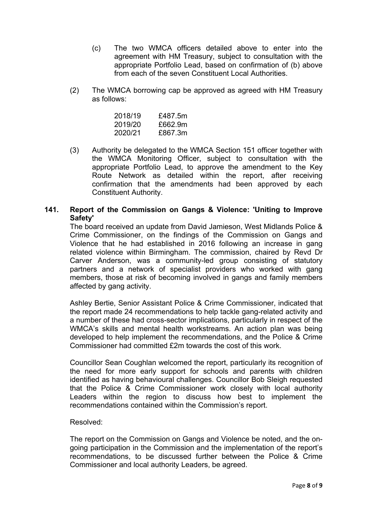- (c) The two WMCA officers detailed above to enter into the agreement with HM Treasury, subject to consultation with the appropriate Portfolio Lead, based on confirmation of (b) above from each of the seven Constituent Local Authorities.
- (2) The WMCA borrowing cap be approved as agreed with HM Treasury as follows:

| 2018/19 | £487.5m |
|---------|---------|
| 2019/20 | £662.9m |
| 2020/21 | £867.3m |

(3) Authority be delegated to the WMCA Section 151 officer together with the WMCA Monitoring Officer, subject to consultation with the appropriate Portfolio Lead, to approve the amendment to the Key Route Network as detailed within the report, after receiving confirmation that the amendments had been approved by each Constituent Authority.

# **141. Report of the Commission on Gangs & Violence: 'Uniting to Improve Safety'**

The board received an update from David Jamieson, West Midlands Police & Crime Commissioner, on the findings of the Commission on Gangs and Violence that he had established in 2016 following an increase in gang related violence within Birmingham. The commission, chaired by Revd Dr Carver Anderson, was a community-led group consisting of statutory partners and a network of specialist providers who worked with gang members, those at risk of becoming involved in gangs and family members affected by gang activity.

Ashley Bertie, Senior Assistant Police & Crime Commissioner, indicated that the report made 24 recommendations to help tackle gang-related activity and a number of these had cross-sector implications, particularly in respect of the WMCA's skills and mental health workstreams. An action plan was being developed to help implement the recommendations, and the Police & Crime Commissioner had committed £2m towards the cost of this work.

Councillor Sean Coughlan welcomed the report, particularly its recognition of the need for more early support for schools and parents with children identified as having behavioural challenges. Councillor Bob Sleigh requested that the Police & Crime Commissioner work closely with local authority Leaders within the region to discuss how best to implement the recommendations contained within the Commission's report.

## Resolved:

The report on the Commission on Gangs and Violence be noted, and the ongoing participation in the Commission and the implementation of the report's recommendations, to be discussed further between the Police & Crime Commissioner and local authority Leaders, be agreed.